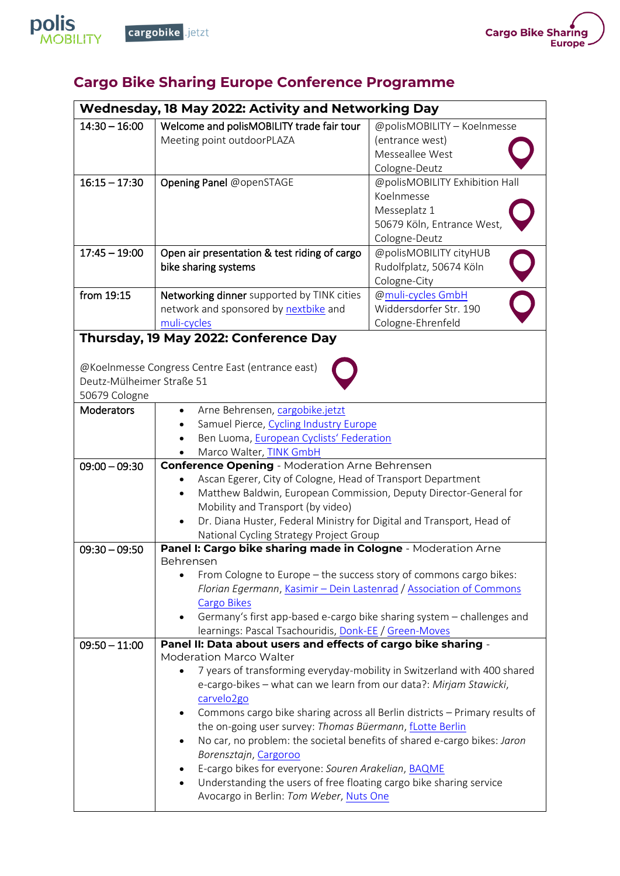



## **Cargo Bike Sharing Europe Conference Programme**

| Wednesday, 18 May 2022: Activity and Networking Day |                                                                                       |                                                                             |  |
|-----------------------------------------------------|---------------------------------------------------------------------------------------|-----------------------------------------------------------------------------|--|
| $14:30 - 16:00$                                     | Welcome and polisMOBILITY trade fair tour                                             | @polisMOBILITY - Koelnmesse<br>(entrance west)                              |  |
|                                                     | Meeting point outdoorPLAZA                                                            | Messeallee West                                                             |  |
|                                                     |                                                                                       | Cologne-Deutz                                                               |  |
| $16:15 - 17:30$                                     | Opening Panel @openSTAGE                                                              | @polisMOBILITY Exhibition Hall                                              |  |
|                                                     |                                                                                       | Koelnmesse                                                                  |  |
|                                                     |                                                                                       | Messeplatz 1                                                                |  |
|                                                     |                                                                                       | 50679 Köln, Entrance West                                                   |  |
|                                                     |                                                                                       | Cologne-Deutz                                                               |  |
| $17:45 - 19:00$                                     | Open air presentation & test riding of cargo                                          | @polisMOBILITY cityHUB                                                      |  |
| bike sharing systems                                |                                                                                       | Rudolfplatz, 50674 Köln                                                     |  |
|                                                     |                                                                                       | Cologne-City                                                                |  |
| from 19:15                                          | Networking dinner supported by TINK cities                                            | @muli-cycles GmbH                                                           |  |
|                                                     | network and sponsored by nextbike and                                                 | Widdersdorfer Str. 190                                                      |  |
|                                                     | muli-cycles                                                                           | Cologne-Ehrenfeld                                                           |  |
|                                                     | Thursday, 19 May 2022: Conference Day                                                 |                                                                             |  |
|                                                     |                                                                                       |                                                                             |  |
|                                                     | @Koelnmesse Congress Centre East (entrance east)                                      |                                                                             |  |
| Deutz-Mülheimer Straße 51                           |                                                                                       |                                                                             |  |
| 50679 Cologne                                       |                                                                                       |                                                                             |  |
| Moderators                                          | Arne Behrensen, cargobike.jetzt                                                       |                                                                             |  |
|                                                     | Samuel Pierce, Cycling Industry Europe                                                |                                                                             |  |
|                                                     | Ben Luoma, European Cyclists' Federation                                              |                                                                             |  |
|                                                     | Marco Walter, TINK GmbH                                                               |                                                                             |  |
| $09:00 - 09:30$                                     | <b>Conference Opening</b> - Moderation Arne Behrensen                                 |                                                                             |  |
|                                                     | Ascan Egerer, City of Cologne, Head of Transport Department                           |                                                                             |  |
|                                                     | Matthew Baldwin, European Commission, Deputy Director-General for<br>$\bullet$        |                                                                             |  |
|                                                     | Mobility and Transport (by video)                                                     |                                                                             |  |
|                                                     | Dr. Diana Huster, Federal Ministry for Digital and Transport, Head of<br>$\bullet$    |                                                                             |  |
|                                                     | National Cycling Strategy Project Group                                               |                                                                             |  |
| $09:30 - 09:50$                                     | Panel I: Cargo bike sharing made in Cologne - Moderation Arne                         |                                                                             |  |
|                                                     | Behrensen<br>From Cologne to Europe - the success story of commons cargo bikes:       |                                                                             |  |
|                                                     | Florian Egermann, Kasimir - Dein Lastenrad / Association of Commons                   |                                                                             |  |
|                                                     | <b>Cargo Bikes</b>                                                                    |                                                                             |  |
|                                                     | Germany's first app-based e-cargo bike sharing system - challenges and                |                                                                             |  |
|                                                     | learnings: Pascal Tsachouridis, Donk-EE / Green-Moves                                 |                                                                             |  |
| $09:50 - 11:00$                                     | Panel II: Data about users and effects of cargo bike sharing -                        |                                                                             |  |
|                                                     | <b>Moderation Marco Walter</b>                                                        |                                                                             |  |
|                                                     | 7 years of transforming everyday-mobility in Switzerland with 400 shared<br>$\bullet$ |                                                                             |  |
|                                                     | e-cargo-bikes - what can we learn from our data?: Mirjam Stawicki,                    |                                                                             |  |
|                                                     | carvelo <sub>2go</sub>                                                                |                                                                             |  |
|                                                     | $\bullet$                                                                             | Commons cargo bike sharing across all Berlin districts - Primary results of |  |
|                                                     | the on-going user survey: Thomas Büermann, fLotte Berlin                              |                                                                             |  |
|                                                     | No car, no problem: the societal benefits of shared e-cargo bikes: Jaron              |                                                                             |  |
|                                                     | Borensztajn, Cargoroo                                                                 |                                                                             |  |
|                                                     | E-cargo bikes for everyone: Souren Arakelian, BAQME                                   |                                                                             |  |
|                                                     | Understanding the users of free floating cargo bike sharing service                   |                                                                             |  |
|                                                     | Avocargo in Berlin: Tom Weber, Nuts One                                               |                                                                             |  |
|                                                     |                                                                                       |                                                                             |  |